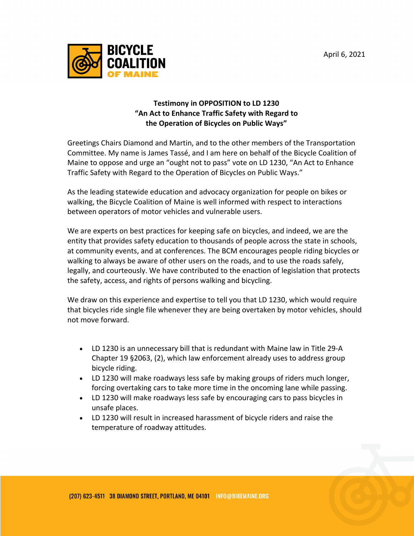

## **Testimony in OPPOSITION to LD 1230 "An Act to Enhance Traffic Safety with Regard to the Operation of Bicycles on Public Ways"**

Greetings Chairs Diamond and Martin, and to the other members of the Transportation Committee. My name is James Tassé, and I am here on behalf of the Bicycle Coalition of Maine to oppose and urge an "ought not to pass" vote on LD 1230, "An Act to Enhance Traffic Safety with Regard to the Operation of Bicycles on Public Ways."

As the leading statewide education and advocacy organization for people on bikes or walking, the Bicycle Coalition of Maine is well informed with respect to interactions between operators of motor vehicles and vulnerable users.

We are experts on best practices for keeping safe on bicycles, and indeed, we are the entity that provides safety education to thousands of people across the state in schools, at community events, and at conferences. The BCM encourages people riding bicycles or walking to always be aware of other users on the roads, and to use the roads safely, legally, and courteously. We have contributed to the enaction of legislation that protects the safety, access, and rights of persons walking and bicycling.

We draw on this experience and expertise to tell you that LD 1230, which would require that bicycles ride single file whenever they are being overtaken by motor vehicles, should not move forward.

- LD 1230 is an unnecessary bill that is redundant with Maine law in Title 29-A Chapter 19 §2063, (2), which law enforcement already uses to address group bicycle riding.
- LD 1230 will make roadways less safe by making groups of riders much longer, forcing overtaking cars to take more time in the oncoming lane while passing.
- LD 1230 will make roadways less safe by encouraging cars to pass bicycles in unsafe places.
- LD 1230 will result in increased harassment of bicycle riders and raise the temperature of roadway attitudes.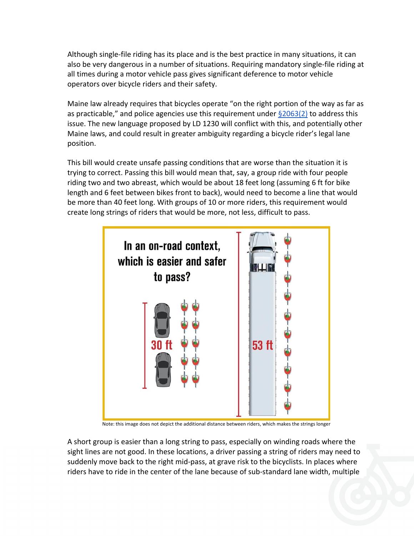Although single-file riding has its place and is the best practice in many situations, it can also be very dangerous in a number of situations. Requiring mandatory single-file riding at all times during a motor vehicle pass gives significant deference to motor vehicle operators over bicycle riders and their safety.

Maine law already requires that bicycles operate "on the right portion of the way as far as as practicable," and police agencies use this requirement under  $\S 2063(2)$  to address this issue. The new language proposed by LD 1230 will conflict with this, and potentially other Maine laws, and could result in greater ambiguity regarding a bicycle rider's legal lane position.

This bill would create unsafe passing conditions that are worse than the situation it is trying to correct. Passing this bill would mean that, say, a group ride with four people riding two and two abreast, which would be about 18 feet long (assuming 6 ft for bike length and 6 feet between bikes front to back), would need to become a line that would be more than 40 feet long. With groups of 10 or more riders, this requirement would create long strings of riders that would be more, not less, difficult to pass.



Note: this image does not depict the additional distance between riders, which makes the strings longer

A short group is easier than a long string to pass, especially on winding roads where the sight lines are not good. In these locations, a driver passing a string of riders may need to suddenly move back to the right mid-pass, at grave risk to the bicyclists. In places where riders have to ride in the center of the lane because of sub-standard lane width, multiple